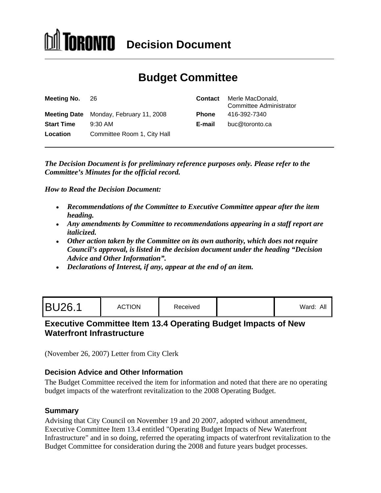# **TORONTO** Decision Document

# **Budget Committee**

| <b>Meeting No. 26</b> |                                        |        | <b>Contact</b> Merle MacDonald,<br><b>Committee Administrator</b> |
|-----------------------|----------------------------------------|--------|-------------------------------------------------------------------|
|                       | Meeting Date Monday, February 11, 2008 | Phone  | 416-392-7340                                                      |
| <b>Start Time</b>     | 9:30 AM                                | E-mail | buc@toronto.ca                                                    |
| Location              | Committee Room 1, City Hall            |        |                                                                   |

*The Decision Document is for preliminary reference purposes only. Please refer to the Committee's Minutes for the official record.*

*How to Read the Decision Document:*

- *Recommendations of the Committee to Executive Committee appear after the item heading.*
- *Any amendments by Committee to recommendations appearing in a staff report are italicized.*
- *Other action taken by the Committee on its own authority, which does not require Council's approval, is listed in the decision document under the heading "Decision Advice and Other Information".*
- *Declarations of Interest, if any, appear at the end of an item.*

| <b>BU26.1</b> | <b>ACTION</b><br>1011011 | .<br>keceived |  | .<br>vvaiu. |  |  |  |  |  |  |  |  |  |  |  |  |  |
|---------------|--------------------------|---------------|--|-------------|--|--|--|--|--|--|--|--|--|--|--|--|--|
|---------------|--------------------------|---------------|--|-------------|--|--|--|--|--|--|--|--|--|--|--|--|--|

# **Executive Committee Item 13.4 Operating Budget Impacts of New Waterfront Infrastructure**

(November 26, 2007) Letter from City Clerk

#### **Decision Advice and Other Information**

The Budget Committee received the item for information and noted that there are no operating budget impacts of the waterfront revitalization to the 2008 Operating Budget.

#### **Summary**

Advising that City Council on November 19 and 20 2007, adopted without amendment, Executive Committee Item 13.4 entitled "Operating Budget Impacts of New Waterfront Infrastructure" and in so doing, referred the operating impacts of waterfront revitalization to the Budget Committee for consideration during the 2008 and future years budget processes.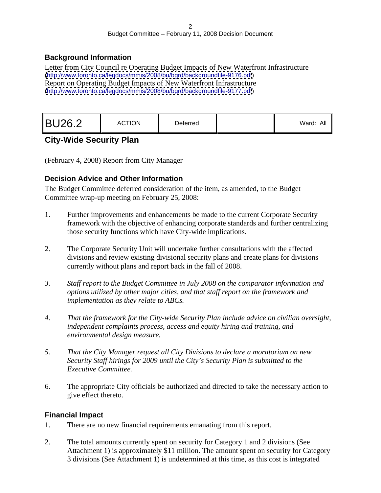#### **Background Information**

Letter from City Council re Operating Budget Impacts of New Waterfront Infrastructure [\(http://www.toronto.ca/legdocs/mmis/2008/bu/bgrd/backgroundfile-9176.pdf](http://www.toronto.ca/legdocs/mmis/2008/bu/bgrd/backgroundfile-9176.pdf)) Report on Operating Budget Impacts of New Waterfront Infrastructure [\(http://www.toronto.ca/legdocs/mmis/2008/bu/bgrd/backgroundfile-9177.pdf](http://www.toronto.ca/legdocs/mmis/2008/bu/bgrd/backgroundfile-9177.pdf))

|--|--|--|

# **City-Wide Security Plan**

(February 4, 2008) Report from City Manager

#### **Decision Advice and Other Information**

The Budget Committee deferred consideration of the item, as amended, to the Budget Committee wrap-up meeting on February 25, 2008:

- 1. Further improvements and enhancements be made to the current Corporate Security framework with the objective of enhancing corporate standards and further centralizing those security functions which have City-wide implications.
- 2. The Corporate Security Unit will undertake further consultations with the affected divisions and review existing divisional security plans and create plans for divisions currently without plans and report back in the fall of 2008.
- *3. Staff report to the Budget Committee in July 2008 on the comparator information and options utilized by other major cities, and that staff report on the framework and implementation as they relate to ABCs.*
- *4. That the framework for the City-wide Security Plan include advice on civilian oversight, independent complaints process, access and equity hiring and training, and environmental design measure.*
- *5. That the City Manager request all City Divisions to declare a moratorium on new Security Staff hirings for 2009 until the City's Security Plan is submitted to the Executive Committee.*
- 6. The appropriate City officials be authorized and directed to take the necessary action to give effect thereto.

#### **Financial Impact**

- 1. There are no new financial requirements emanating from this report.
- 2. The total amounts currently spent on security for Category 1 and 2 divisions (See Attachment 1) is approximately \$11 million. The amount spent on security for Category 3 divisions (See Attachment 1) is undetermined at this time, as this cost is integrated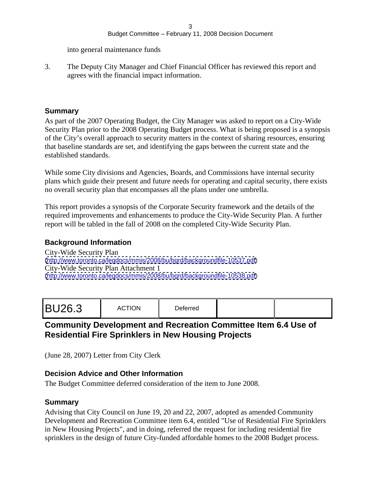#### $3 \overline{3}$ Budget Committee – February 11, 2008 Decision Document

into general maintenance funds

3. The Deputy City Manager and Chief Financial Officer has reviewed this report and agrees with the financial impact information.

#### **Summary**

As part of the 2007 Operating Budget, the City Manager was asked to report on a City-Wide Security Plan prior to the 2008 Operating Budget process. What is being proposed is a synopsis of the City's overall approach to security matters in the context of sharing resources, ensuring that baseline standards are set, and identifying the gaps between the current state and the established standards.

While some City divisions and Agencies, Boards, and Commissions have internal security plans which guide their present and future needs for operating and capital security, there exists no overall security plan that encompasses all the plans under one umbrella.

This report provides a synopsis of the Corporate Security framework and the details of the required improvements and enhancements to produce the City-Wide Security Plan. A further report will be tabled in the fall of 2008 on the completed City-Wide Security Plan.

#### **Background Information**

City-Wide Security Plan [\(http://www.toronto.ca/legdocs/mmis/2008/bu/bgrd/backgroundfile-10537.pdf](http://www.toronto.ca/legdocs/mmis/2008/bu/bgrd/backgroundfile-10537.pdf)) City-Wide Security Plan Attachment 1 [\(http://www.toronto.ca/legdocs/mmis/2008/bu/bgrd/backgroundfile-10538.pdf](http://www.toronto.ca/legdocs/mmis/2008/bu/bgrd/backgroundfile-10538.pdf))

|--|

## **Community Development and Recreation Committee Item 6.4 Use of Residential Fire Sprinklers in New Housing Projects**

(June 28, 2007) Letter from City Clerk

#### **Decision Advice and Other Information**

The Budget Committee deferred consideration of the item to June 2008.

#### **Summary**

Advising that City Council on June 19, 20 and 22, 2007, adopted as amended Community Development and Recreation Committee item 6.4, entitled "Use of Residential Fire Sprinklers in New Housing Projects", and in doing, referred the request for including residential fire sprinklers in the design of future City-funded affordable homes to the 2008 Budget process.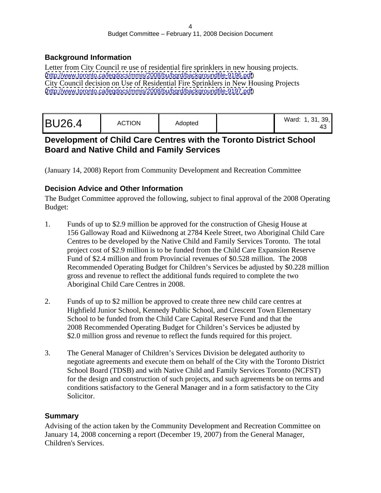#### **Background Information**

Letter from City Council re use of residential fire sprinklers in new housing projects. [\(http://www.toronto.ca/legdocs/mmis/2008/bu/bgrd/backgroundfile-9196.pdf](http://www.toronto.ca/legdocs/mmis/2008/bu/bgrd/backgroundfile-9196.pdf)) City Council decision on Use of Residential Fire Sprinklers in New Housing Projects [\(http://www.toronto.ca/legdocs/mmis/2008/bu/bgrd/backgroundfile-9197.pdf](http://www.toronto.ca/legdocs/mmis/2008/bu/bgrd/backgroundfile-9197.pdf))

# **Development of Child Care Centres with the Toronto District School Board and Native Child and Family Services**

(January 14, 2008) Report from Community Development and Recreation Committee

#### **Decision Advice and Other Information**

The Budget Committee approved the following, subject to final approval of the 2008 Operating Budget:

- 1. Funds of up to \$2.9 million be approved for the construction of Ghesig House at 156 Galloway Road and Kiiwednong at 2784 Keele Street, two Aboriginal Child Care Centres to be developed by the Native Child and Family Services Toronto. The total project cost of \$2.9 million is to be funded from the Child Care Expansion Reserve Fund of \$2.4 million and from Provincial revenues of \$0.528 million. The 2008 Recommended Operating Budget for Children's Services be adjusted by \$0.228 million gross and revenue to reflect the additional funds required to complete the two Aboriginal Child Care Centres in 2008.
- 2. Funds of up to \$2 million be approved to create three new child care centres at Highfield Junior School, Kennedy Public School, and Crescent Town Elementary School to be funded from the Child Care Capital Reserve Fund and that the 2008 Recommended Operating Budget for Children's Services be adjusted by \$2.0 million gross and revenue to reflect the funds required for this project.
- 3. The General Manager of Children's Services Division be delegated authority to negotiate agreements and execute them on behalf of the City with the Toronto District School Board (TDSB) and with Native Child and Family Services Toronto (NCFST) for the design and construction of such projects, and such agreements be on terms and conditions satisfactory to the General Manager and in a form satisfactory to the City Solicitor.

## **Summary**

Advising of the action taken by the Community Development and Recreation Committee on January 14, 2008 concerning a report (December 19, 2007) from the General Manager, Children's Services.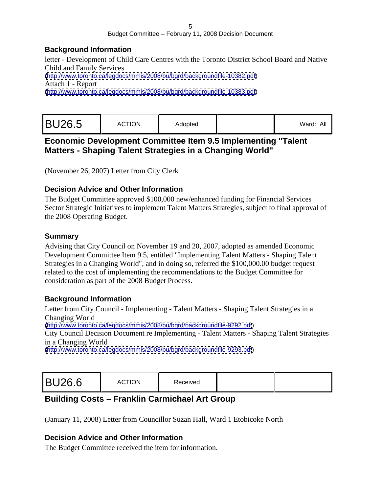#### **Background Information**

letter - Development of Child Care Centres with the Toronto District School Board and Native Child and Family Services [\(http://www.toronto.ca/legdocs/mmis/2008/bu/bgrd/backgroundfile-10382.pdf](http://www.toronto.ca/legdocs/mmis/2008/bu/bgrd/backgroundfile-10382.pdf)) Attach 1 - Report [\(http://www.toronto.ca/legdocs/mmis/2008/bu/bgrd/backgroundfile-10383.pdf](http://www.toronto.ca/legdocs/mmis/2008/bu/bgrd/backgroundfile-10383.pdf))

|  | . . aru. <i>.</i> . |  | Adoptec | ACTION<br>$\sim$ | <b>BU26.5</b> |
|--|---------------------|--|---------|------------------|---------------|
|--|---------------------|--|---------|------------------|---------------|

## **Economic Development Committee Item 9.5 Implementing "Talent Matters - Shaping Talent Strategies in a Changing World"**

(November 26, 2007) Letter from City Clerk

## **Decision Advice and Other Information**

The Budget Committee approved \$100,000 new/enhanced funding for Financial Services Sector Strategic Initiatives to implement Talent Matters Strategies, subject to final approval of the 2008 Operating Budget.

#### **Summary**

Advising that City Council on November 19 and 20, 2007, adopted as amended Economic Development Committee Item 9.5, entitled "Implementing Talent Matters - Shaping Talent Strategies in a Changing World", and in doing so, referred the \$100,000.00 budget request related to the cost of implementing the recommendations to the Budget Committee for consideration as part of the 2008 Budget Process.

## **Background Information**

Letter from City Council - Implementing - Talent Matters - Shaping Talent Strategies in a Changing World [\(http://www.toronto.ca/legdocs/mmis/2008/bu/bgrd/backgroundfile-9292.pdf](http://www.toronto.ca/legdocs/mmis/2008/bu/bgrd/backgroundfile-9292.pdf)) City Council Decision Document re Implementing - Talent Matters - Shaping Talent Strategies

in a Changing World

[\(http://www.toronto.ca/legdocs/mmis/2008/bu/bgrd/backgroundfile-9293.pdf](http://www.toronto.ca/legdocs/mmis/2008/bu/bgrd/backgroundfile-9293.pdf))

|--|

# **Building Costs – Franklin Carmichael Art Group**

(January 11, 2008) Letter from Councillor Suzan Hall, Ward 1 Etobicoke North

## **Decision Advice and Other Information**

The Budget Committee received the item for information.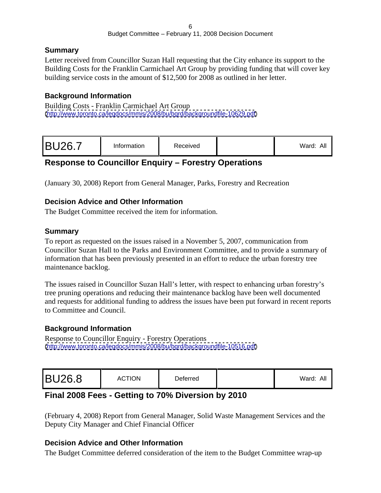#### **Summary**

Letter received from Councillor Suzan Hall requesting that the City enhance its support to the Building Costs for the Franklin Carmichael Art Group by providing funding that will cover key building service costs in the amount of \$12,500 for 2008 as outlined in her letter.

## **Background Information**

Building Costs - Franklin Carmichael Art Group [\(http://www.toronto.ca/legdocs/mmis/2008/bu/bgrd/backgroundfile-10629.pdf](http://www.toronto.ca/legdocs/mmis/2008/bu/bgrd/backgroundfile-10629.pdf))

# **Response to Councillor Enquiry – Forestry Operations**

(January 30, 2008) Report from General Manager, Parks, Forestry and Recreation

#### **Decision Advice and Other Information**

The Budget Committee received the item for information.

#### **Summary**

To report as requested on the issues raised in a November 5, 2007, communication from Councillor Suzan Hall to the Parks and Environment Committee, and to provide a summary of information that has been previously presented in an effort to reduce the urban forestry tree maintenance backlog.

The issues raised in Councillor Suzan Hall's letter, with respect to enhancing urban forestry's tree pruning operations and reducing their maintenance backlog have been well documented and requests for additional funding to address the issues have been put forward in recent reports to Committee and Council.

#### **Background Information**

Response to Councillor Enquiry - Forestry Operations [\(http://www.toronto.ca/legdocs/mmis/2008/bu/bgrd/backgroundfile-10516.pdf](http://www.toronto.ca/legdocs/mmis/2008/bu/bgrd/backgroundfile-10516.pdf))

## **Final 2008 Fees - Getting to 70% Diversion by 2010**

(February 4, 2008) Report from General Manager, Solid Waste Management Services and the Deputy City Manager and Chief Financial Officer

#### **Decision Advice and Other Information**

The Budget Committee deferred consideration of the item to the Budget Committee wrap-up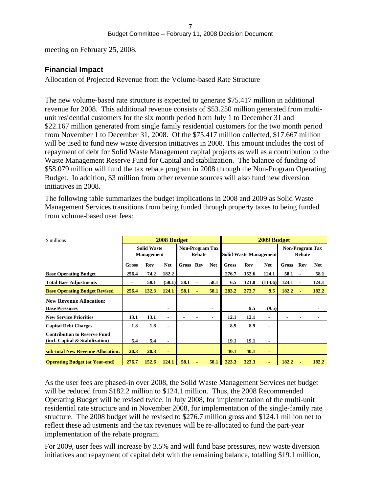meeting on February 25, 2008.

#### **Financial Impact**

#### Allocation of Projected Revenue from the Volume-based Rate Structure

The new volume-based rate structure is expected to generate \$75.417 million in additional revenue for 2008. This additional revenue consists of \$53.250 million generated from multi unit residential customers for the six month period from July 1 to December 31 and \$22.167 million generated from single family residential customers for the two month period from November 1 to December 31, 2008. Of the \$75.417 million collected, \$17.667 million will be used to fund new waste diversion initiatives in 2008. This amount includes the cost of repayment of debt for Solid Waste Management capital projects as well as a contribution to the Waste Management Reserve Fund for Capital and stabilization. The balance of funding of \$58.079 million will fund the tax rebate program in 2008 through the Non-Program Operating Budget. In addition, \$3 million from other revenue sources will also fund new diversion initiatives in 2008.

The following table summarizes the budget implications in 2008 and 2009 as Solid Waste Management Services transitions from being funded through property taxes to being funded from volume-based user fees:

| \$ millions                                                  |                                         |                  | 2008 Budget |                           | 2009 Budget |                                                                                 |               |     |                               |                                                                                                    |       |                           |  |
|--------------------------------------------------------------|-----------------------------------------|------------------|-------------|---------------------------|-------------|---------------------------------------------------------------------------------|---------------|-----|-------------------------------|----------------------------------------------------------------------------------------------------|-------|---------------------------|--|
|                                                              | <b>Solid Waste</b><br><b>Management</b> |                  |             | Non-Program Tax<br>Rebate |             |                                                                                 |               |     | <b>Solid Waste Management</b> |                                                                                                    |       | Non-Program Tax<br>Rebate |  |
|                                                              | <b>Gross</b>                            | Rev              | Net         | Gross Rev Net Gross       |             |                                                                                 |               | Rev |                               | Net Gross Rev Net                                                                                  |       |                           |  |
| <b>Base Operating Budget</b>                                 |                                         | 256.4 74.2 182.2 |             |                           |             |                                                                                 |               |     |                               | $\begin{array}{ l c c c c c c c } \hline 276.7 & 152.6 & 124.1 & 58.1 & 58.1 \ \hline \end{array}$ |       |                           |  |
| <b>Total Base Adjustments</b>                                | $\sim$ $\sim$                           |                  |             | 58.1 (58.1) 58.1 -        | 58.1        |                                                                                 |               |     |                               | 6.5 121.0 (114.6) 124.1                                                                            | 124.1 |                           |  |
| <b>Base Operating Budget Revised</b>                         |                                         |                  |             | 256.4 132.3 124.1 58.1    |             | $58.1 \parallel 283.2 \quad 273.7$                                              |               |     |                               | $9.5$ 182.2 -                                                                                      | 182.2 |                           |  |
| <b>New Revenue Allocation:</b>                               |                                         |                  |             |                           |             |                                                                                 |               |     |                               |                                                                                                    |       |                           |  |
| <b>Base Pressures</b>                                        |                                         |                  |             |                           |             |                                                                                 |               | 9.5 | (9.5)                         |                                                                                                    |       |                           |  |
| <b>New Service Priorities</b>                                |                                         | 13.1 13.1        |             | <b>Service Contract</b>   |             |                                                                                 | $12.1$ 12.1   |     |                               | <b>Service</b><br>$\sim$ $\sim$                                                                    |       |                           |  |
| Capital Debt Charges                                         |                                         | $1.8$ 1.8        |             |                           |             |                                                                                 | 8.9 8.9       |     |                               |                                                                                                    |       |                           |  |
| <b>Contribution to Reserve Fund</b>                          |                                         |                  |             |                           |             |                                                                                 |               |     |                               |                                                                                                    |       |                           |  |
| (incl. Capital & Stabilization)                              |                                         | 5.4 5.4          |             |                           |             |                                                                                 | 19.1 19.1     |     |                               |                                                                                                    |       |                           |  |
| sub-total New Revenue Allocation:                            |                                         | $20.3$ $20.3$    |             |                           |             |                                                                                 | $40.1$ $40.1$ |     |                               |                                                                                                    |       |                           |  |
| <b>Operating Budget (at Year-end)</b> 276.7 152.6 124.1 58.1 |                                         |                  |             |                           |             | $\begin{array}{ c c c c c c } \hline 58.1 & 323.3 & 323.3 \ \hline \end{array}$ |               |     |                               | 182.2                                                                                              | 182.2 |                           |  |

As the user fees are phased-in over 2008, the Solid Waste Management Services net budget will be reduced from \$182.2 million to \$124.1 million. Thus, the 2008 Recommended Operating Budget will be revised twice: in July 2008, for implementation of the multi-unit residential rate structure and in November 2008, for implementation of the single-family rate structure. The 2008 budget will be revised to \$276.7 million gross and \$124.1 million net to reflect these adjustments and the tax revenues will be re-allocated to fund the part-year implementation of the rebate program.

For 2009, user fees will increase by 3.5% and will fund base pressures, new waste diversion initiatives and repayment of capital debt with the remaining balance, totalling \$19.1 million,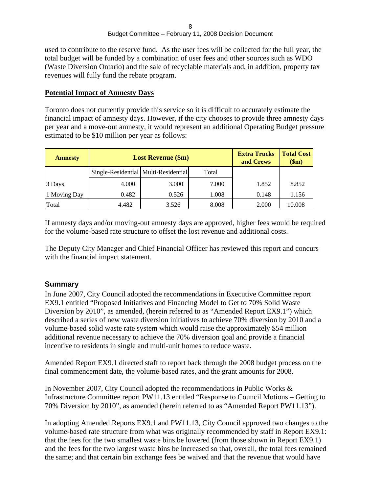used to contribute to the reserve fund. As the user fees will be collected for the full year, the total budget will be funded by a combination of user fees and other sources such as WDO (Waste Diversion Ontario) and the sale of recyclable materials and, in addition, property tax revenues will fully fund the rebate program.

#### **Potential Impact of Amnesty Days**

Toronto does not currently provide this service so it is difficult to accurately estimate the financial impact of amnesty days. However, if the city chooses to provide three amnesty days per year and a move-out amnesty, it would represent an additional Operating Budget pressure estimated to be \$10 million per year as follows:

| <b>Amnesty</b> | <b>Lost Revenue (\$m)</b>            |       |                 | <b>Extra Trucks Total Cost</b><br>and Crews | \$m\$  |
|----------------|--------------------------------------|-------|-----------------|---------------------------------------------|--------|
|                | Single-Residential Multi-Residential |       | $\sim$<br>Total |                                             |        |
| 3 Days         | 4.000                                | 3.000 | 7.000           | 1.852                                       | 8.852  |
| 1 Moving Day   | 0.482                                | 0.526 | 1.008           | 0.148                                       | 1.156  |
| Total          | 4.482                                | 3.526 | 8.008           | 2.000                                       | 10.008 |

If amnesty days and/or moving-out amnesty days are approved, higher fees would be required for the volume-based rate structure to offset the lost revenue and additional costs.

The Deputy City Manager and Chief Financial Officer has reviewed this report and concurs with the financial impact statement.

#### **Summary**

In June 2007, City Council adopted the recommendations in Executive Committee report EX9.1 entitled "Proposed Initiatives and Financing Model to Get to 70% Solid Waste Diversion by 2010", as amended, (herein referred to as "Amended Report EX9.1") which described a series of new waste diversion initiatives to achieve 70% diversion by 2010 and a volume-based solid waste rate system which would raise the approximately \$54 million additional revenue necessary to achieve the 70% diversion goal and provide a financial incentive to residents in single and multi-unit homes to reduce waste.

Amended Report EX9.1 directed staff to report back through the 2008 budget process on the final commencement date, the volume-based rates, and the grant amounts for 2008.

In November 2007, City Council adopted the recommendations in Public Works & Infrastructure Committee report PW11.13 entitled "Response to Council Motions – Getting to 70% Diversion by 2010", as amended (herein referred to as "Amended Report PW11.13").

In adopting Amended Reports EX9.1 and PW11.13, City Council approved two changes to the volume-based rate structure from what was originally recommended by staff in Report EX9.1: that the fees for the two smallest waste bins be lowered (from those shown in Report EX9.1) and the fees for the two largest waste bins be increased so that, overall, the total fees remained the same; and that certain bin exchange fees be waived and that the revenue that would have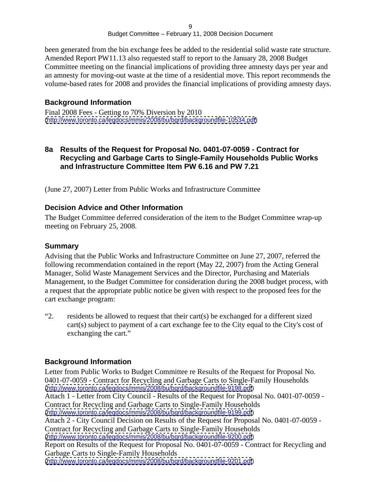been generated from the bin exchange fees be added to the residential solid waste rate structure. Amended Report PW11.13 also requested staff to report to the January 28, 2008 Budget Committee meeting on the financial implications of providing three amnesty days per year and an amnesty for moving-out waste at the time of a residential move. This report recommends the volume-based rates for 2008 and provides the financial implications of providing amnesty days.

#### **Background Information**

Final 2008 Fees - Getting to 70% Diversion by 2010 [\(http://www.toronto.ca/legdocs/mmis/2008/bu/bgrd/backgroundfile-10534.pdf](http://www.toronto.ca/legdocs/mmis/2008/bu/bgrd/backgroundfile-10534.pdf))

#### **8a Results of the Request for Proposal No. 0401-07-0059 - Contract for Recycling and Garbage Carts to Single-Family Households Public Works and Infrastructure Committee Item PW 6.16 and PW 7.21**

(June 27, 2007) Letter from Public Works and Infrastructure Committee

#### **Decision Advice and Other Information**

The Budget Committee deferred consideration of the item to the Budget Committee wrap-up meeting on February 25, 2008.

#### **Summary**

Advising that the Public Works and Infrastructure Committee on June 27, 2007, referred the following recommendation contained in the report (May 22, 2007) from the Acting General Manager, Solid Waste Management Services and the Director, Purchasing and Materials Management, to the Budget Committee for consideration during the 2008 budget process, with a request that the appropriate public notice be given with respect to the proposed fees for the cart exchange program:<br>
"2. residents be allowed to request that their cart(s) be exchanged for a different sized

cart(s) subject to payment of a cart exchange fee to the City equal to the City's cost of exchanging the cart."

#### **Background Information**

Letter from Public Works to Budget Committee re Results of the Request for Proposal No. 0401-07-0059 - Contract for Recycling and Garbage Carts to Single-Family Households [\(http://www.toronto.ca/legdocs/mmis/2008/bu/bgrd/backgroundfile-9198.pdf](http://www.toronto.ca/legdocs/mmis/2008/bu/bgrd/backgroundfile-9198.pdf)) Attach 1 - Letter from City Council - Results of the Request for Proposal No. 0401-07-0059 - Contract for Recycling and Garbage Carts to Single-Family Households [\(http://www.toronto.ca/legdocs/mmis/2008/bu/bgrd/backgroundfile-9199.pdf](http://www.toronto.ca/legdocs/mmis/2008/bu/bgrd/backgroundfile-9199.pdf)) Attach 2 - City Council Decision on Results of the Request for Proposal No. 0401-07-0059 - Contract for Recycling and Garbage Carts to Single-Family Households [\(http://www.toronto.ca/legdocs/mmis/2008/bu/bgrd/backgroundfile-9200.pdf](http://www.toronto.ca/legdocs/mmis/2008/bu/bgrd/backgroundfile-9200.pdf)) Report on Results of the Request for Proposal No. 0401-07-0059 - Contract for Recycling and Garbage Carts to Single-Family Households [\(http://www.toronto.ca/legdocs/mmis/2008/bu/bgrd/backgroundfile-9201.pdf](http://www.toronto.ca/legdocs/mmis/2008/bu/bgrd/backgroundfile-9201.pdf))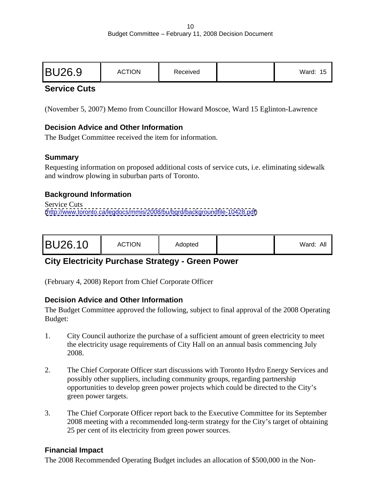|--|

## **Service Cuts**

(November 5, 2007) Memo from Councillor Howard Moscoe, Ward 15 Eglinton-Lawrence

#### **Decision Advice and Other Information**

The Budget Committee received the item for information.

#### **Summary**

Requesting information on proposed additional costs of service cuts, i.e. eliminating sidewalk and windrow plowing in suburban parts of Toronto.

#### **Background Information**

Service Cuts **Service Cuts** [\(http://www.toronto.ca/legdocs/mmis/2008/bu/bgrd/backgroundfile-10428.pdf](http://www.toronto.ca/legdocs/mmis/2008/bu/bgrd/backgroundfile-10428.pdf))

# **City Electricity Purchase Strategy - Green Power**

(February 4, 2008) Report from Chief Corporate Officer

#### **Decision Advice and Other Information**

The Budget Committee approved the following, subject to final approval of the 2008 Operating Budget:

- 1. City Council authorize the purchase of a sufficient amount of green electricity to meet the electricity usage requirements of City Hall on an annual basis commencing July 2008.
- 2. The Chief Corporate Officer start discussions with Toronto Hydro Energy Services and possibly other suppliers, including community groups, regarding partnership opportunities to develop green power projects which could be directed to the City's green power targets.
- 3. The Chief Corporate Officer report back to the Executive Committee for its September 2008 meeting with a recommended long-term strategy for the City's target of obtaining 25 per cent of its electricity from green power sources.

#### **Financial Impact**

The 2008 Recommended Operating Budget includes an allocation of \$500,000 in the Non-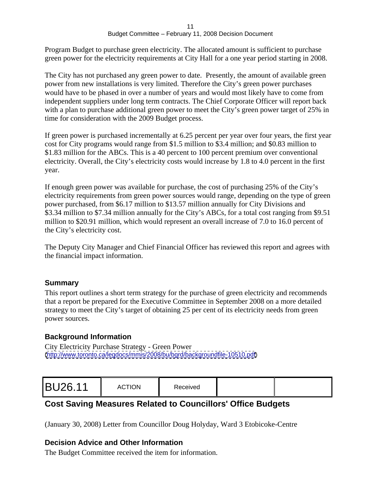Program Budget to purchase green electricity. The allocated amount is sufficient to purchase green power for the electricity requirements at City Hall for a one year period starting in 2008.

The City has not purchased any green power to date. Presently, the amount of available green power from new installations is very limited. Therefore the City's green power purchases would have to be phased in over a number of years and would most likely have to come from independent suppliers under long term contracts. The Chief Corporate Officer will report back with a plan to purchase additional green power to meet the City's green power target of 25% in time for consideration with the 2009 Budget process.

If green power is purchased incrementally at 6.25 percent per year over four years, the first year cost for City programs would range from \$1.5 million to \$3.4 million; and \$0.83 million to \$1.83 million for the ABCs. This is a 40 percent to 100 percent premium over conventional electricity. Overall, the City's electricity costs would increase by 1.8 to 4.0 percent in the first year.

If enough green power was available for purchase, the cost of purchasing 25% of the City's electricity requirements from green power sources would range, depending on the type of green power purchased, from \$6.17 million to \$13.57 million annually for City Divisions and \$3.34 million to \$7.34 million annually for the City's ABCs, for a total cost ranging from \$9.51 million to \$20.91 million, which would represent an overall increase of 7.0 to 16.0 percent of the City's electricity cost.

The Deputy City Manager and Chief Financial Officer has reviewed this report and agrees with the financial impact information.

## **Summary**

This report outlines a short term strategy for the purchase of green electricity and recommends that a report be prepared for the Executive Committee in September 2008 on a more detailed strategy to meet the City's target of obtaining 25 per cent of its electricity needs from green power sources.

## **Background Information**

City Electricity Purchase Strategy - Green Power [\(http://www.toronto.ca/legdocs/mmis/2008/bu/bgrd/backgroundfile-10510.pdf](http://www.toronto.ca/legdocs/mmis/2008/bu/bgrd/backgroundfile-10510.pdf))

|--|

# **Cost Saving Measures Related to Councillors' Office Budgets**

(January 30, 2008) Letter from Councillor Doug Holyday, Ward 3 Etobicoke-Centre

## **Decision Advice and Other Information**

The Budget Committee received the item for information.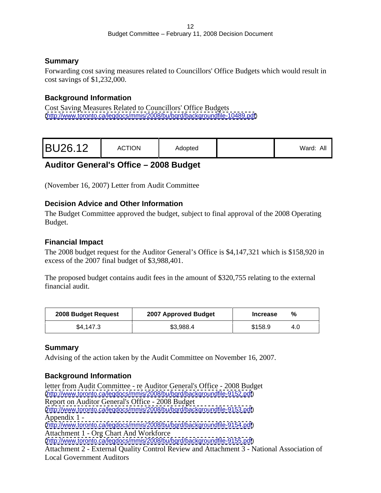## **Summary**

Forwarding cost saving measures related to Councillors' Office Budgets which would result in cost savings of \$1,232,000.

## **Background Information**

Cost Saving Measures Related to Councillors' Office Budgets [\(http://www.toronto.ca/legdocs/mmis/2008/bu/bgrd/backgroundfile-10489.pdf](http://www.toronto.ca/legdocs/mmis/2008/bu/bgrd/backgroundfile-10489.pdf))

|--|

# **Auditor General's Office – 2008 Budget**

(November 16, 2007) Letter from Audit Committee

## **Decision Advice and Other Information**

The Budget Committee approved the budget, subject to final approval of the 2008 Operating example. The set of the set of the set of the set of the set of the set of the set of the set of the set of the set of the set of the set of the set of the set of the set of the set of the set of the set of the set of the

## **Financial Impact**

The 2008 budget request for the Auditor General's Office is \$4,147,321 which is \$158,920 in excess of the 2007 final budget of \$3,988,401.

The proposed budget contains audit fees in the amount of \$320,755 relating to the external financial audit.

## **Summary**

Advising of the action taken by the Audit Committee on November 16, 2007.

## **Background Information**

letter from Audit Committee - re Auditor General's Office - 2008 Budget [\(http://www.toronto.ca/legdocs/mmis/2008/bu/bgrd/backgroundfile-9152.pdf](http://www.toronto.ca/legdocs/mmis/2008/bu/bgrd/backgroundfile-9152.pdf)) Report on Auditor General's Office - 2008 Budget [\(http://www.toronto.ca/legdocs/mmis/2008/bu/bgrd/backgroundfile-9153.pdf](http://www.toronto.ca/legdocs/mmis/2008/bu/bgrd/backgroundfile-9153.pdf)) Appendix 1 - [\(http://www.toronto.ca/legdocs/mmis/2008/bu/bgrd/backgroundfile-9154.pdf](http://www.toronto.ca/legdocs/mmis/2008/bu/bgrd/backgroundfile-9154.pdf)) Attachment 1 - Org Chart And Workforce [\(http://www.toronto.ca/legdocs/mmis/2008/bu/bgrd/backgroundfile-9155.pdf](http://www.toronto.ca/legdocs/mmis/2008/bu/bgrd/backgroundfile-9155.pdf)) Attachment 2 - External Quality Control Review and Attachment 3 - National Association of Local Government Auditors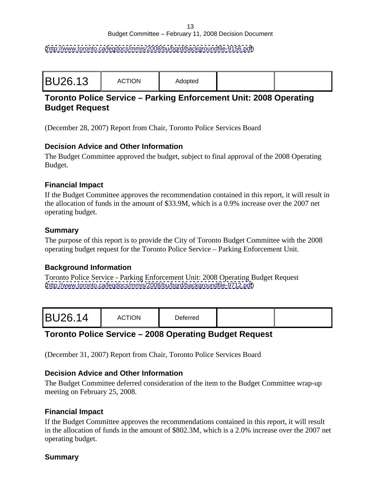[\(http://www.toronto.ca/legdocs/mmis/2008/bu/bgrd/backgroundfile-9156.pdf](http://www.toronto.ca/legdocs/mmis/2008/bu/bgrd/backgroundfile-9156.pdf))

| the contract of the contract of<br>$A - A - A - A$<br>A(1()1)1f<br>woptou |  |
|---------------------------------------------------------------------------|--|
|---------------------------------------------------------------------------|--|

## **Toronto Police Service – Parking Enforcement Unit: 2008 Operating Budget Request**

(December 28, 2007) Report from Chair, Toronto Police Services Board

#### **Decision Advice and Other Information**

The Budget Committee approved the budget, subject to final approval of the 2008 Operating example. The set of the set of the set of the set of the set of the set of the set of the set of the set of the set of the set of the set of the set of the set of the set of the set of the set of the set of the set of the

#### **Financial Impact**

If the Budget Committee approves the recommendation contained in this report, it will result in the allocation of funds in the amount of \$33.9M, which is a 0.9% increase over the 2007 net operating budget.

#### **Summary**

The purpose of this report is to provide the City of Toronto Budget Committee with the 2008 operating budget request for the Toronto Police Service – Parking Enforcement Unit.

#### **Background Information**

Toronto Police Service - Parking Enforcement Unit: 2008 Operating Budget Request [\(http://www.toronto.ca/legdocs/mmis/2008/bu/bgrd/backgroundfile-9712.pdf](http://www.toronto.ca/legdocs/mmis/2008/bu/bgrd/backgroundfile-9712.pdf))

|--|

## **Toronto Police Service – 2008 Operating Budget Request**

(December 31, 2007) Report from Chair, Toronto Police Services Board

#### **Decision Advice and Other Information**

The Budget Committee deferred consideration of the item to the Budget Committee wrap-up meeting on February 25, 2008.

#### **Financial Impact**

If the Budget Committee approves the recommendations contained in this report, it will result in the allocation of funds in the amount of \$802.3M, which is a 2.0% increase over the 2007 net operating budget.

## **Summary**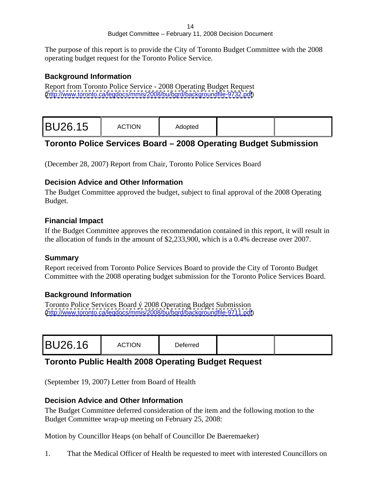The purpose of this report is to provide the City of Toronto Budget Committee with the 2008 operating budget request for the Toronto Police Service.

#### **Background Information**

Report from Toronto Police Service - 2008 Operating Budget Request [\(http://www.toronto.ca/legdocs/mmis/2008/bu/bgrd/backgroundfile-9732.pdf](http://www.toronto.ca/legdocs/mmis/2008/bu/bgrd/backgroundfile-9732.pdf))

|--|

# **Toronto Police Services Board – 2008 Operating Budget Submission**

(December 28, 2007) Report from Chair, Toronto Police Services Board

#### **Decision Advice and Other Information**

The Budget Committee approved the budget, subject to final approval of the 2008 Operating example. The set of the set of the set of the set of the set of the set of the set of the set of the set of the set of the set of the set of the set of the set of the set of the set of the set of the set of the set of the

#### **Financial Impact**

If the Budget Committee approves the recommendation contained in this report, it will result in the allocation of funds in the amount of \$2,233,900, which is a 0.4% decrease over 2007.

#### **Summary**

Report received from Toronto Police Services Board to provide the City of Toronto Budget Committee with the 2008 operating budget submission for the Toronto Police Services Board.

## **Background Information**

Toronto Police Services Board ý 2008 Operating Budget Submission [\(http://www.toronto.ca/legdocs/mmis/2008/bu/bgrd/backgroundfile-9711.pdf](http://www.toronto.ca/legdocs/mmis/2008/bu/bgrd/backgroundfile-9711.pdf))

|--|--|

# **Toronto Public Health 2008 Operating Budget Request**

(September 19, 2007) Letter from Board of Health

#### **Decision Advice and Other Information**

The Budget Committee deferred consideration of the item and the following motion to the Budget Committee wrap-up meeting on February 25, 2008:

Motion by Councillor Heaps (on behalf of Councillor De Baeremaeker)

1. That the Medical Officer of Health be requested to meet with interested Councillors on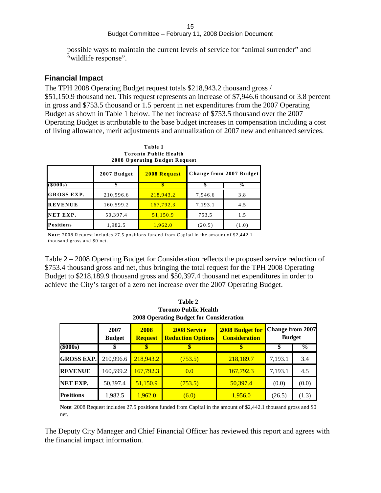#### 15 and the contract of the contract of the contract of the contract of the contract of the contract of the contract of the contract of the contract of the contract of the contract of the contract of the contract of the con Budget Committee – February 11, 2008 Decision Document

possible ways to maintain the current levels of service for "animal surrender" and "wildlife response".

#### **Financial Impact**

The TPH 2008 Operating Budget request totals \$218,943.2 thousand gross / \$51,150.9 thousand net. This request represents an increase of \$7,946.6 thousand or 3.8 percent in gross and \$753.5 thousand or 1.5 percent in net expenditures from the 2007 Operating Budget as shown in Table 1 below. The net increase of \$753.5 thousand over the 2007 Operating Budget is attributable to the base budget increases in compensation including a cost of living allowance, merit adjustments and annualization of 2007 new and enhanced services.

|                             | Table 1     |                                                                                           |         |     |  |
|-----------------------------|-------------|-------------------------------------------------------------------------------------------|---------|-----|--|
|                             |             | <b>Toronto Public Health</b>                                                              |         |     |  |
|                             |             | 2008 Operating Budget Request                                                             |         |     |  |
|                             | 2007 Budget | 2008 Request Change from 2007 Budget                                                      |         |     |  |
| $(\$000s)$                  |             |                                                                                           |         |     |  |
| GROSS EXP.                  | 210,996.6   | 218,943.2                                                                                 | 7,946.6 | 3.8 |  |
| <b>REVENUE</b>              | 160,599.2   | $\frac{167,792.3}{ }$                                                                     | 7,193.1 | 4.5 |  |
| NET EXP.                    | 50,397.4    |                                                                                           | 753.5   | 1.5 |  |
| Positions                   | 19825       | 19620                                                                                     | (20.5)  |     |  |
| thousand gross and \$0 net. |             | Note: 2008 Request includes 27.5 positions funded from Capital in the amount of \$2,442.1 |         |     |  |

**Toronto Public H ealth**

Table 2 – 2008 Operating Budget for Consideration reflects the proposed service reduction of \$753.4 thousand gross and net, thus bringing the total request for the TPH 2008 Operating Budget to \$218,189.9 thousand gross and \$50,397.4 thousand net expenditures in order to achieve the City's target of a zero net increase over the 2007 Operating Budget.

| 2006 Operating Budget for Consideration |                           |  |               |                 |                                                     |       |
|-----------------------------------------|---------------------------|--|---------------|-----------------|-----------------------------------------------------|-------|
|                                         |                           |  |               |                 | <b>for   Change from 2007</b>                       |       |
|                                         |                           |  |               |                 | <b>Budget</b>                                       |       |
| $(\$000s)$                              |                           |  |               |                 | $\overline{\phantom{a}}$ . $\overline{\phantom{a}}$ |       |
| <b>GROSS EXP.</b> 210,996.6             |                           |  | (753.5)       | 218,189.7       | $\blacksquare$ 7 193 1                              |       |
| REVENUE   $160,599.2$                   |                           |  | $\boxed{0.0}$ | 167,792.3       | 7,193.1                                             | 4.5   |
| NET EXP.                                | $\sim 1.60307$ $\sim 7.7$ |  | (753.5)       | $\sqrt{20.007}$ |                                                     | (0.0) |
| <b>Positions</b>                        | 1.0925<br>1,702.5         |  | (6.0)         |                 | (∠∪…)                                               | (1.3) |

**Table 2 Toronto Public Health 2008 Operating Budget for Consideration**

**Note**: 2008 Request includes 27.5 positions funded from Capital in the amount of \$2,442.1 thousand gross and \$0 net.

The Deputy City Manager and Chief Financial Officer has reviewed this report and agrees with the financial impact information.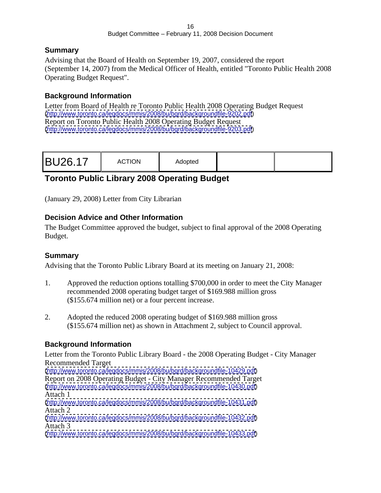#### **Summary**

Advising that the Board of Health on September 19, 2007, considered the report (September 14, 2007) from the Medical Officer of Health, entitled "Toronto Public Health 2008 Operating Budget Request".

## **Background Information**

Letter from Board of Health re Toronto Public Health 2008 Operating Budget Request [\(http://www.toronto.ca/legdocs/mmis/2008/bu/bgrd/backgroundfile-9202.pdf](http://www.toronto.ca/legdocs/mmis/2008/bu/bgrd/backgroundfile-9202.pdf)) Report on Toronto Public Health 2008 Operating Budget Request [\(http://www.toronto.ca/legdocs/mmis/2008/bu/bgrd/backgroundfile-9203.pdf](http://www.toronto.ca/legdocs/mmis/2008/bu/bgrd/backgroundfile-9203.pdf))

# **Toronto Public Library 2008 Operating Budget**

(January 29, 2008) Letter from City Librarian

#### **Decision Advice and Other Information**

The Budget Committee approved the budget, subject to final approval of the 2008 Operating example. The set of the set of the set of the set of the set of the set of the set of the set of the set of the set of the set of the set of the set of the set of the set of the set of the set of the set of the set of the

#### **Summary**

Advising that the Toronto Public Library Board at its meeting on January 21, 2008:

- 1. Approved the reduction options totalling \$700,000 in order to meet the City Manager recommended 2008 operating budget target of \$169.988 million gross (\$155.674 million net) or a four percent increase.
- 2. Adopted the reduced 2008 operating budget of \$169.988 million gross (\$155.674 million net) as shown in Attachment 2, subject to Council approval.

## **Background Information**

Letter from the Toronto Public Library Board - the 2008 Operating Budget - City Manager Recommended Target [\(http://www.toronto.ca/legdocs/mmis/2008/bu/bgrd/backgroundfile-10429.pdf](http://www.toronto.ca/legdocs/mmis/2008/bu/bgrd/backgroundfile-10429.pdf)) Report on 2008 Operating Budget - City Manager Recommended Target [\(http://www.toronto.ca/legdocs/mmis/2008/bu/bgrd/backgroundfile-10430.pdf](http://www.toronto.ca/legdocs/mmis/2008/bu/bgrd/backgroundfile-10430.pdf)) Attach 1 [\(http://www.toronto.ca/legdocs/mmis/2008/bu/bgrd/backgroundfile-10431.pdf](http://www.toronto.ca/legdocs/mmis/2008/bu/bgrd/backgroundfile-10431.pdf)) Attach 2 [\(http://www.toronto.ca/legdocs/mmis/2008/bu/bgrd/backgroundfile-10432.pdf](http://www.toronto.ca/legdocs/mmis/2008/bu/bgrd/backgroundfile-10432.pdf)) Attach 3 [\(http://www.toronto.ca/legdocs/mmis/2008/bu/bgrd/backgroundfile-10433.pdf](http://www.toronto.ca/legdocs/mmis/2008/bu/bgrd/backgroundfile-10433.pdf))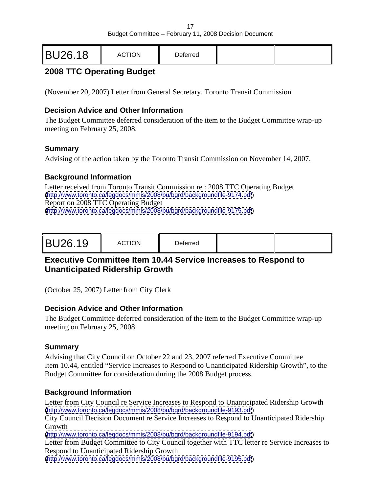|--|--|

# **2008 TTC Operating Budget**

(November 20, 2007) Letter from General Secretary, Toronto Transit Commission

#### **Decision Advice and Other Information**

The Budget Committee deferred consideration of the item to the Budget Committee wrap-up meeting on February 25, 2008.

#### **Summary**

Advising of the action taken by the Toronto Transit Commission on November 14, 2007.

## **Background Information**

Letter received from Toronto Transit Commission re : 2008 TTC Operating Budget [\(http://www.toronto.ca/legdocs/mmis/2008/bu/bgrd/backgroundfile-9174.pdf](http://www.toronto.ca/legdocs/mmis/2008/bu/bgrd/backgroundfile-9174.pdf)) Report on 2008 TTC Operating Budget [\(http://www.toronto.ca/legdocs/mmis/2008/bu/bgrd/backgroundfile-9175.pdf](http://www.toronto.ca/legdocs/mmis/2008/bu/bgrd/backgroundfile-9175.pdf))

|--|--|

## **Executive Committee Item 10.44 Service Increases to Respond to Unanticipated Ridership Growth**

(October 25, 2007) Letter from City Clerk

#### **Decision Advice and Other Information**

The Budget Committee deferred consideration of the item to the Budget Committee wrap-up meeting on February 25, 2008.

## **Summary**

Advising that City Council on October 22 and 23, 2007 referred Executive Committee Item 10.44, entitled "Service Increases to Respond to Unanticipated Ridership Growth", to the Budget Committee for consideration during the 2008 Budget process.

#### **Background Information**

Letter from City Council re Service Increases to Respond to Unanticipated Ridership Growth [\(http://www.toronto.ca/legdocs/mmis/2008/bu/bgrd/backgroundfile-9193.pdf](http://www.toronto.ca/legdocs/mmis/2008/bu/bgrd/backgroundfile-9193.pdf))

City Council Decision Document re Service Increases to Respond to Unanticipated Ridership Growth

[\(http://www.toronto.ca/legdocs/mmis/2008/bu/bgrd/backgroundfile-9194.pdf](http://www.toronto.ca/legdocs/mmis/2008/bu/bgrd/backgroundfile-9194.pdf))

Letter from Budget Committee to City Council together with TTC letter re Service Increases to Respond to Unanticipated Ridership Growth

[\(http://www.toronto.ca/legdocs/mmis/2008/bu/bgrd/backgroundfile-9195.pdf](http://www.toronto.ca/legdocs/mmis/2008/bu/bgrd/backgroundfile-9195.pdf))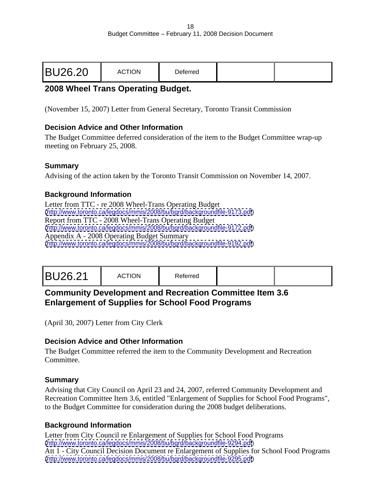|--|--|

## **2008 Wheel Trans Operating Budget.**

(November 15, 2007) Letter from General Secretary, Toronto Transit Commission

#### **Decision Advice and Other Information**

The Budget Committee deferred consideration of the item to the Budget Committee wrap-up meeting on February 25, 2008.

#### **Summary**

Advising of the action taken by the Toronto Transit Commission on November 14, 2007.

#### **Background Information**

Letter from TTC - re 2008 Wheel-Trans Operating Budget [\(http://www.toronto.ca/legdocs/mmis/2008/bu/bgrd/backgroundfile-9173.pdf](http://www.toronto.ca/legdocs/mmis/2008/bu/bgrd/backgroundfile-9173.pdf)) Report from TTC - 2008 Wheel-Trans Operating Budget [\(http://www.toronto.ca/legdocs/mmis/2008/bu/bgrd/backgroundfile-9172.pdf](http://www.toronto.ca/legdocs/mmis/2008/bu/bgrd/backgroundfile-9172.pdf)) Appendix A - 2008 Operating Budget Summary [\(http://www.toronto.ca/legdocs/mmis/2008/bu/bgrd/backgroundfile-9192.pdf](http://www.toronto.ca/legdocs/mmis/2008/bu/bgrd/backgroundfile-9192.pdf))

## **Community Development and Recreation Committee Item 3.6 Enlargement of Supplies for School Food Programs**

(April 30, 2007) Letter from City Clerk

#### **Decision Advice and Other Information**

The Budget Committee referred the item to the Community Development and Recreation Committee.

#### **Summary**

Advising that City Council on April 23 and 24, 2007, referred Community Development and Recreation Committee Item 3.6, entitled "Enlargement of Supplies for School Food Programs", to the Budget Committee for consideration during the 2008 budget deliberations.

#### **Background Information**

Letter from City Council re Enlargement of Supplies for School Food Programs [\(http://www.toronto.ca/legdocs/mmis/2008/bu/bgrd/backgroundfile-9294.pdf](http://www.toronto.ca/legdocs/mmis/2008/bu/bgrd/backgroundfile-9294.pdf)) Att 1 - City Council Decision Document re Enlargement of Supplies for School Food Programs [\(http://www.toronto.ca/legdocs/mmis/2008/bu/bgrd/backgroundfile-9295.pdf](http://www.toronto.ca/legdocs/mmis/2008/bu/bgrd/backgroundfile-9295.pdf))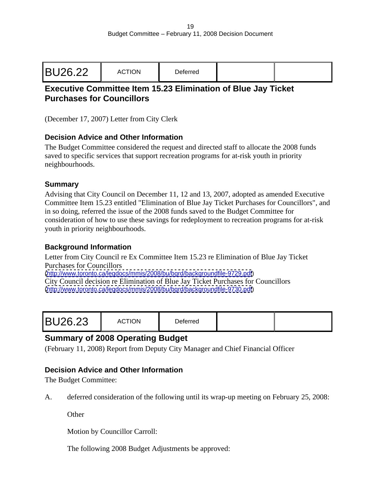|--|--|

# **Executive Committee Item 15.23 Elimination of Blue Jay Ticket Purchases for Councillors**

(December 17, 2007) Letter from City Clerk

#### **Decision Advice and Other Information**

The Budget Committee considered the request and directed staff to allocate the 2008 funds saved to specific services that support recreation programs for at-risk youth in priority neighbourhoods.

#### **Summary**

Advising that City Council on December 11, 12 and 13, 2007, adopted as amended Executive Committee Item 15.23 entitled "Elimination of Blue Jay Ticket Purchases for Councillors", and in so doing, referred the issue of the 2008 funds saved to the Budget Committee for consideration of how to use these savings for redeployment to recreation programs for at-risk youth in priority neighbourhoods.

#### **Background Information**

Letter from City Council re Ex Committee Item 15.23 re Elimination of Blue Jay Ticket Purchases for Councillors

[\(http://www.toronto.ca/legdocs/mmis/2008/bu/bgrd/backgroundfile-9729.pdf](http://www.toronto.ca/legdocs/mmis/2008/bu/bgrd/backgroundfile-9729.pdf))

City Council decision re Elimination of Blue Jay Ticket Purchases for Councillors [\(http://www.toronto.ca/legdocs/mmis/2008/bu/bgrd/backgroundfile-9730.pdf](http://www.toronto.ca/legdocs/mmis/2008/bu/bgrd/backgroundfile-9730.pdf))

|--|--|

## **Summary of 2008 Operating Budget**

(February 11, 2008) Report from Deputy City Manager and Chief Financial Officer

#### **Decision Advice and Other Information**

The Budget Committee:

A. deferred consideration of the following until its wrap-up meeting on February 25, 2008:

Other **Contains the Containing Contains and Contains and Contains and Contains and Contains and Contains and Contains and Contains and Contains and Contains and Contains and Contains and Contains and Contains and Contains** 

Motion by Councillor Carroll:

The following 2008 Budget Adjustments be approved: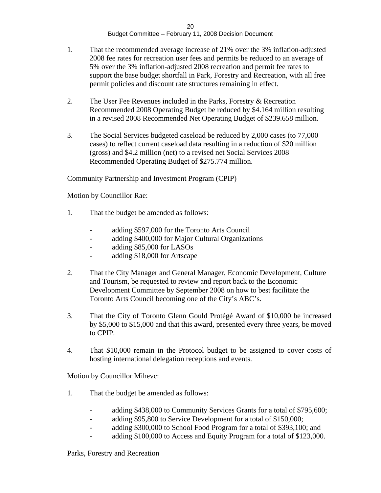- 1. That the recommended average increase of 21% over the 3% inflation-adjusted 2008 fee rates for recreation user fees and permits be reduced to an average of 5% over the 3% inflation-adjusted 2008 recreation and permit fee rates to support the base budget shortfall in Park, Forestry and Recreation, with all free permit policies and discount rate structures remaining in effect.
- 2. The User Fee Revenues included in the Parks, Forestry & Recreation Recommended 2008 Operating Budget be reduced by \$4.164 million resulting in a revised 2008 Recommended Net Operating Budget of \$239.658 million.
- 3. The Social Services budgeted caseload be reduced by 2,000 cases (to 77,000 cases) to reflect current caseload data resulting in a reduction of \$20 million (gross) and \$4.2 million (net) to a revised net Social Services 2008 Recommended Operating Budget of \$275.774 million.

Community Partnership and Investment Program (CPIP)

Motion by Councillor Rae:

- 1. That the budget be amended as follows:
	- adding \$597,000 for the Toronto Arts Council
	- adding \$400,000 for Major Cultural Organizations
	- adding \$85,000 for LASOs
	- adding \$18,000 for Artscape
- 2. That the City Manager and General Manager, Economic Development, Culture and Tourism, be requested to review and report back to the Economic Development Committee by September 2008 on how to best facilitate the Toronto Arts Council becoming one of the City's ABC's.
- 3. That the City of Toronto Glenn Gould Protégé Award of \$10,000 be increased by \$5,000 to \$15,000 and that this award, presented every three years, be moved to CPIP.
- 4. That \$10,000 remain in the Protocol budget to be assigned to cover costs of hosting international delegation receptions and events.

Motion by Councillor Mihevc:

- 1. That the budget be amended as follows:
	- adding \$438,000 to Community Services Grants for a total of \$795,600;
	- adding \$95,800 to Service Development for a total of \$150,000;
	- adding \$300,000 to School Food Program for a total of \$393,100; and
	- adding \$100,000 to Access and Equity Program for a total of \$123,000.

Parks, Forestry and Recreation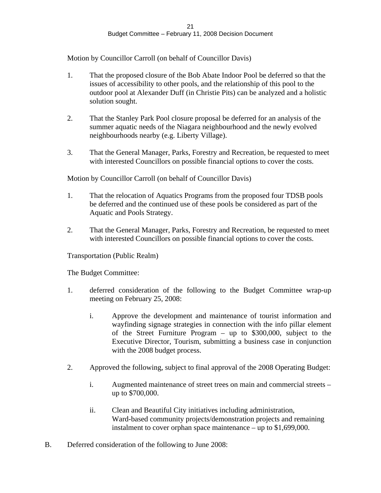Motion by Councillor Carroll (on behalf of Councillor Davis)

- 1. That the proposed closure of the Bob Abate Indoor Pool be deferred so that the issues of accessibility to other pools, and the relationship of this pool to the outdoor pool at Alexander Duff (in Christie Pits) can be analyzed and a holistic solution sought.
- 2. That the Stanley Park Pool closure proposal be deferred for an analysis of the summer aquatic needs of the Niagara neighbourhood and the newly evolved neighbourhoods nearby (e.g. Liberty Village).
- 3. That the General Manager, Parks, Forestry and Recreation, be requested to meet with interested Councillors on possible financial options to cover the costs.

Motion by Councillor Carroll (on behalf of Councillor Davis)

- 1. That the relocation of Aquatics Programs from the proposed four TDSB pools be deferred and the continued use of these pools be considered as part of the Aquatic and Pools Strategy.
- 2. That the General Manager, Parks, Forestry and Recreation, be requested to meet with interested Councillors on possible financial options to cover the costs.

Transportation (Public Realm)

The Budget Committee:

- 1. deferred consideration of the following to the Budget Committee wrap-up meeting on February 25, 2008:
	- i. Approve the development and maintenance of tourist information and wayfinding signage strategies in connection with the info pillar element of the Street Furniture Program – up to \$300,000, subject to the Executive Director, Tourism, submitting a business case in conjunction with the 2008 budget process.
- 2. Approved the following, subject to final approval of the 2008 Operating Budget:
	- i. Augmented maintenance of street trees on main and commercial streets up to \$700,000.
	- ii. Clean and Beautiful City initiatives including administration, Ward-based community projects/demonstration projects and remaining instalment to cover orphan space maintenance – up to \$1,699,000.
- B. Deferred consideration of the following to June 2008: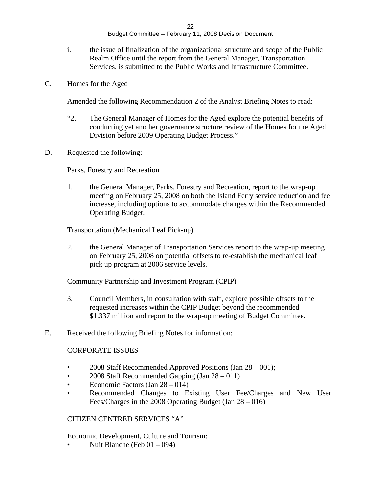- i. the issue of finalization of the organizational structure and scope of the Public Realm Office until the report from the General Manager, Transportation Services, is submitted to the Public Works and Infrastructure Committee.
- C. Homes for the Aged

Amended the following Recommendation 2 of the Analyst Briefing Notes to read:

- "2. The General Manager of Homes for the Aged explore the potential benefits of conducting yet another governance structure review of the Homes for the Aged Division before 2009 Operating Budget Process."
- D. Requested the following:

Parks, Forestry and Recreation

1. the General Manager, Parks, Forestry and Recreation, report to the wrap-up meeting on February 25, 2008 on both the Island Ferry service reduction and fee increase, including options to accommodate changes within the Recommended Operating Budget.

Transportation (Mechanical Leaf Pick-up)

2. the General Manager of Transportation Services report to the wrap-up meeting on February 25, 2008 on potential offsets to re-establish the mechanical leaf pick up program at 2006 service levels.

Community Partnership and Investment Program (CPIP)

- 3. Council Members, in consultation with staff, explore possible offsets to the requested increases within the CPIP Budget beyond the recommended \$1.337 million and report to the wrap-up meeting of Budget Committee.
- E. Received the following Briefing Notes for information:

#### CORPORATE ISSUES

- 2008 Staff Recommended Approved Positions (Jan 28 001);
- 2008 Staff Recommended Gapping (Jan 28 011)
- Economic Factors (Jan  $28 014$ )
- Recommended Changes to Existing User Fee/Charges and New User Fees/Charges in the 2008 Operating Budget (Jan 28 – 016)

#### CITIZEN CENTRED SERVICES "A"

Economic Development, Culture and Tourism:

• Nuit Blanche (Feb 01 – 094)